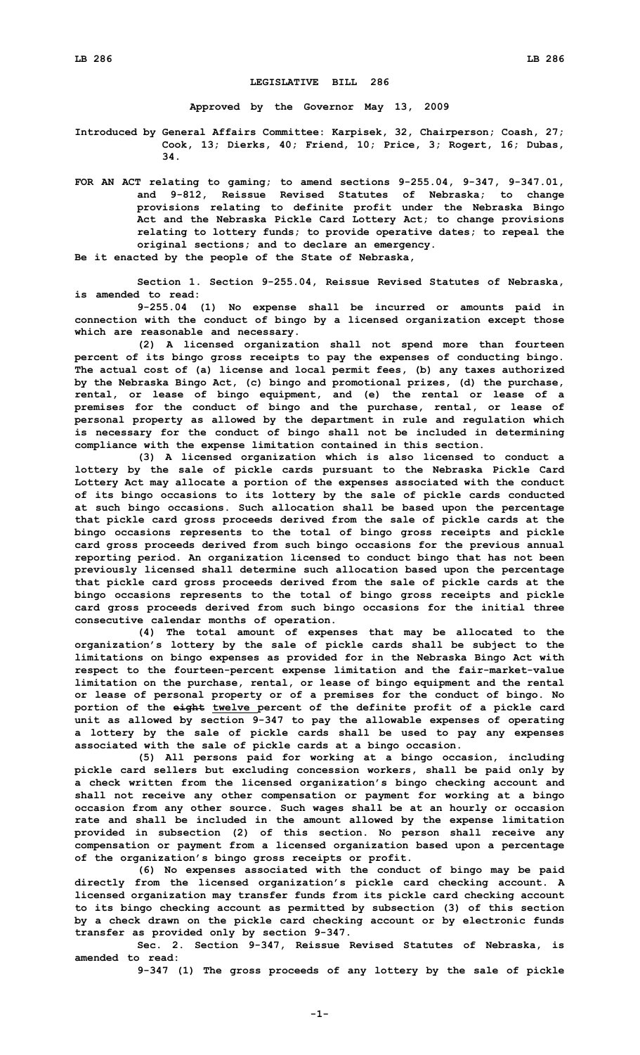## **LEGISLATIVE BILL 286**

**Approved by the Governor May 13, 2009**

**Introduced by General Affairs Committee: Karpisek, 32, Chairperson; Coash, 27; Cook, 13; Dierks, 40; Friend, 10; Price, 3; Rogert, 16; Dubas, 34.**

**FOR AN ACT relating to gaming; to amend sections 9-255.04, 9-347, 9-347.01, and 9-812, Reissue Revised Statutes of Nebraska; to change provisions relating to definite profit under the Nebraska Bingo Act and the Nebraska Pickle Card Lottery Act; to change provisions relating to lottery funds; to provide operative dates; to repeal the original sections; and to declare an emergency.**

**Be it enacted by the people of the State of Nebraska,**

**Section 1. Section 9-255.04, Reissue Revised Statutes of Nebraska, is amended to read:**

**9-255.04 (1) No expense shall be incurred or amounts paid in connection with the conduct of bingo by <sup>a</sup> licensed organization except those which are reasonable and necessary.**

**(2) <sup>A</sup> licensed organization shall not spend more than fourteen percent of its bingo gross receipts to pay the expenses of conducting bingo. The actual cost of (a) license and local permit fees, (b) any taxes authorized by the Nebraska Bingo Act, (c) bingo and promotional prizes, (d) the purchase, rental, or lease of bingo equipment, and (e) the rental or lease of <sup>a</sup> premises for the conduct of bingo and the purchase, rental, or lease of personal property as allowed by the department in rule and regulation which is necessary for the conduct of bingo shall not be included in determining compliance with the expense limitation contained in this section.**

**(3) <sup>A</sup> licensed organization which is also licensed to conduct <sup>a</sup> lottery by the sale of pickle cards pursuant to the Nebraska Pickle Card Lottery Act may allocate <sup>a</sup> portion of the expenses associated with the conduct of its bingo occasions to its lottery by the sale of pickle cards conducted at such bingo occasions. Such allocation shall be based upon the percentage that pickle card gross proceeds derived from the sale of pickle cards at the bingo occasions represents to the total of bingo gross receipts and pickle card gross proceeds derived from such bingo occasions for the previous annual reporting period. An organization licensed to conduct bingo that has not been previously licensed shall determine such allocation based upon the percentage that pickle card gross proceeds derived from the sale of pickle cards at the bingo occasions represents to the total of bingo gross receipts and pickle card gross proceeds derived from such bingo occasions for the initial three consecutive calendar months of operation.**

**(4) The total amount of expenses that may be allocated to the organization's lottery by the sale of pickle cards shall be subject to the limitations on bingo expenses as provided for in the Nebraska Bingo Act with respect to the fourteen-percent expense limitation and the fair-market-value limitation on the purchase, rental, or lease of bingo equipment and the rental or lease of personal property or of <sup>a</sup> premises for the conduct of bingo. No portion of the eight twelve percent of the definite profit of <sup>a</sup> pickle card unit as allowed by section 9-347 to pay the allowable expenses of operating <sup>a</sup> lottery by the sale of pickle cards shall be used to pay any expenses associated with the sale of pickle cards at <sup>a</sup> bingo occasion.**

**(5) All persons paid for working at <sup>a</sup> bingo occasion, including pickle card sellers but excluding concession workers, shall be paid only by <sup>a</sup> check written from the licensed organization's bingo checking account and shall not receive any other compensation or payment for working at <sup>a</sup> bingo occasion from any other source. Such wages shall be at an hourly or occasion rate and shall be included in the amount allowed by the expense limitation provided in subsection (2) of this section. No person shall receive any compensation or payment from <sup>a</sup> licensed organization based upon <sup>a</sup> percentage of the organization's bingo gross receipts or profit.**

**(6) No expenses associated with the conduct of bingo may be paid directly from the licensed organization's pickle card checking account. A licensed organization may transfer funds from its pickle card checking account to its bingo checking account as permitted by subsection (3) of this section by <sup>a</sup> check drawn on the pickle card checking account or by electronic funds transfer as provided only by section 9-347.**

**Sec. 2. Section 9-347, Reissue Revised Statutes of Nebraska, is amended to read:**

**9-347 (1) The gross proceeds of any lottery by the sale of pickle**

**-1-**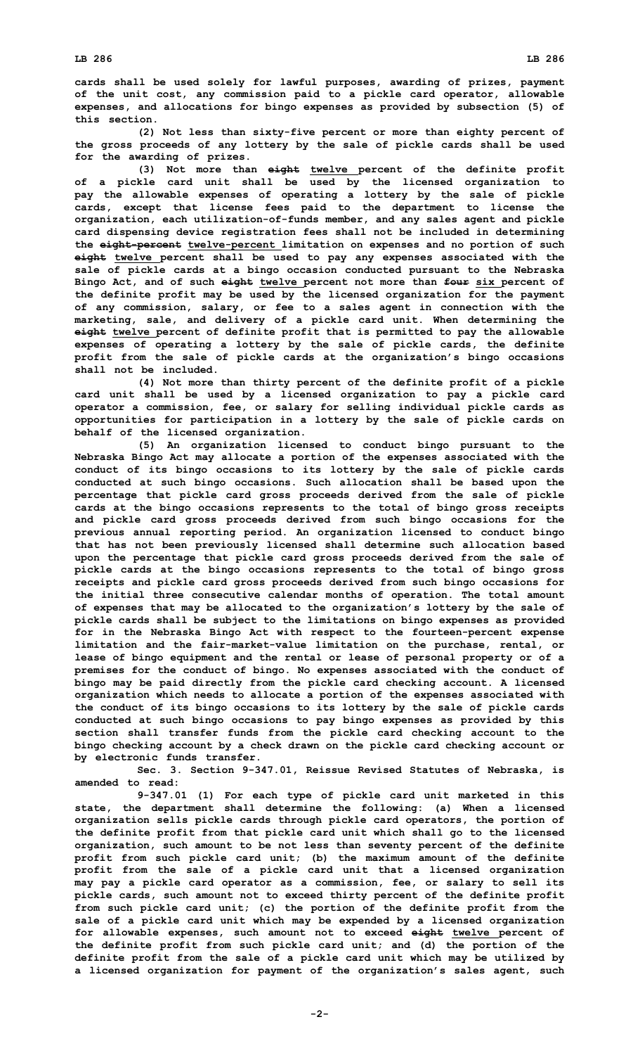**cards shall be used solely for lawful purposes, awarding of prizes, payment of the unit cost, any commission paid to <sup>a</sup> pickle card operator, allowable expenses, and allocations for bingo expenses as provided by subsection (5) of this section.**

**(2) Not less than sixty-five percent or more than eighty percent of the gross proceeds of any lottery by the sale of pickle cards shall be used for the awarding of prizes.**

**(3) Not more than eight twelve percent of the definite profit of <sup>a</sup> pickle card unit shall be used by the licensed organization to pay the allowable expenses of operating <sup>a</sup> lottery by the sale of pickle cards, except that license fees paid to the department to license the organization, each utilization-of-funds member, and any sales agent and pickle card dispensing device registration fees shall not be included in determining the eight-percent twelve-percent limitation on expenses and no portion of such eight twelve percent shall be used to pay any expenses associated with the sale of pickle cards at <sup>a</sup> bingo occasion conducted pursuant to the Nebraska Bingo Act, and of such eight twelve percent not more than four six percent of the definite profit may be used by the licensed organization for the payment of any commission, salary, or fee to <sup>a</sup> sales agent in connection with the marketing, sale, and delivery of <sup>a</sup> pickle card unit. When determining the eight twelve percent of definite profit that is permitted to pay the allowable expenses of operating <sup>a</sup> lottery by the sale of pickle cards, the definite profit from the sale of pickle cards at the organization's bingo occasions shall not be included.**

**(4) Not more than thirty percent of the definite profit of <sup>a</sup> pickle card unit shall be used by <sup>a</sup> licensed organization to pay <sup>a</sup> pickle card operator <sup>a</sup> commission, fee, or salary for selling individual pickle cards as opportunities for participation in <sup>a</sup> lottery by the sale of pickle cards on behalf of the licensed organization.**

**(5) An organization licensed to conduct bingo pursuant to the Nebraska Bingo Act may allocate <sup>a</sup> portion of the expenses associated with the conduct of its bingo occasions to its lottery by the sale of pickle cards conducted at such bingo occasions. Such allocation shall be based upon the percentage that pickle card gross proceeds derived from the sale of pickle cards at the bingo occasions represents to the total of bingo gross receipts and pickle card gross proceeds derived from such bingo occasions for the previous annual reporting period. An organization licensed to conduct bingo that has not been previously licensed shall determine such allocation based upon the percentage that pickle card gross proceeds derived from the sale of pickle cards at the bingo occasions represents to the total of bingo gross receipts and pickle card gross proceeds derived from such bingo occasions for the initial three consecutive calendar months of operation. The total amount of expenses that may be allocated to the organization's lottery by the sale of pickle cards shall be subject to the limitations on bingo expenses as provided for in the Nebraska Bingo Act with respect to the fourteen-percent expense limitation and the fair-market-value limitation on the purchase, rental, or lease of bingo equipment and the rental or lease of personal property or of <sup>a</sup> premises for the conduct of bingo. No expenses associated with the conduct of bingo may be paid directly from the pickle card checking account. A licensed organization which needs to allocate <sup>a</sup> portion of the expenses associated with the conduct of its bingo occasions to its lottery by the sale of pickle cards conducted at such bingo occasions to pay bingo expenses as provided by this section shall transfer funds from the pickle card checking account to the bingo checking account by <sup>a</sup> check drawn on the pickle card checking account or by electronic funds transfer.**

**Sec. 3. Section 9-347.01, Reissue Revised Statutes of Nebraska, is amended to read:**

**9-347.01 (1) For each type of pickle card unit marketed in this state, the department shall determine the following: (a) When <sup>a</sup> licensed organization sells pickle cards through pickle card operators, the portion of the definite profit from that pickle card unit which shall go to the licensed organization, such amount to be not less than seventy percent of the definite profit from such pickle card unit; (b) the maximum amount of the definite profit from the sale of <sup>a</sup> pickle card unit that <sup>a</sup> licensed organization may pay <sup>a</sup> pickle card operator as <sup>a</sup> commission, fee, or salary to sell its pickle cards, such amount not to exceed thirty percent of the definite profit from such pickle card unit; (c) the portion of the definite profit from the sale of <sup>a</sup> pickle card unit which may be expended by <sup>a</sup> licensed organization for allowable expenses, such amount not to exceed eight twelve percent of the definite profit from such pickle card unit; and (d) the portion of the definite profit from the sale of <sup>a</sup> pickle card unit which may be utilized by <sup>a</sup> licensed organization for payment of the organization's sales agent, such**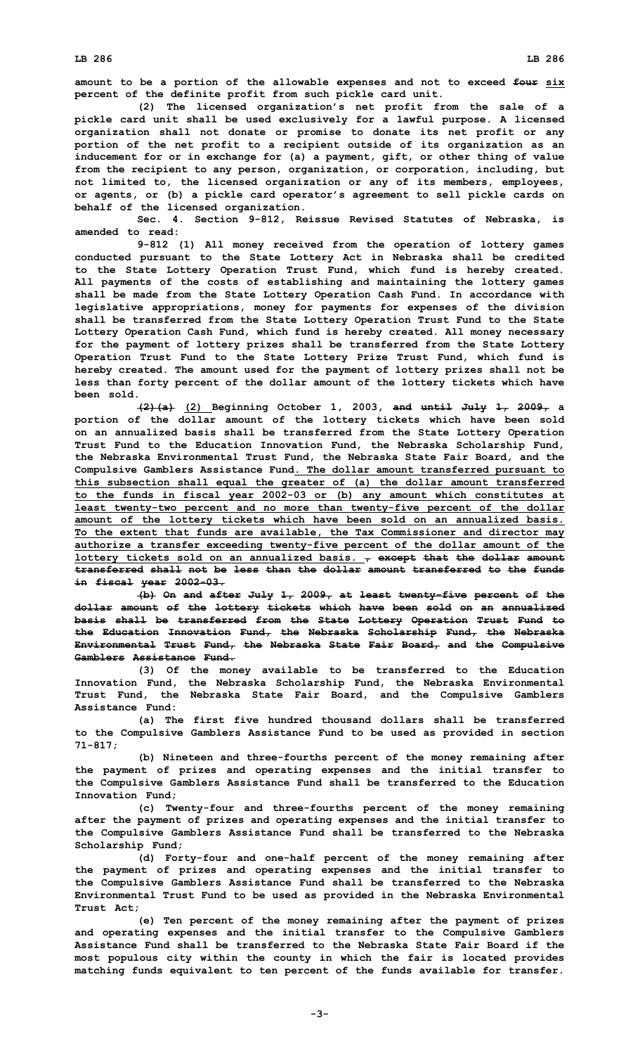**amount to be <sup>a</sup> portion of the allowable expenses and not to exceed four six percent of the definite profit from such pickle card unit.**

**(2) The licensed organization's net profit from the sale of <sup>a</sup> pickle card unit shall be used exclusively for <sup>a</sup> lawful purpose. A licensed organization shall not donate or promise to donate its net profit or any portion of the net profit to <sup>a</sup> recipient outside of its organization as an inducement for or in exchange for (a) <sup>a</sup> payment, gift, or other thing of value from the recipient to any person, organization, or corporation, including, but not limited to, the licensed organization or any of its members, employees, or agents, or (b) <sup>a</sup> pickle card operator's agreement to sell pickle cards on behalf of the licensed organization.**

**Sec. 4. Section 9-812, Reissue Revised Statutes of Nebraska, is amended to read:**

**9-812 (1) All money received from the operation of lottery games conducted pursuant to the State Lottery Act in Nebraska shall be credited to the State Lottery Operation Trust Fund, which fund is hereby created. All payments of the costs of establishing and maintaining the lottery games shall be made from the State Lottery Operation Cash Fund. In accordance with legislative appropriations, money for payments for expenses of the division shall be transferred from the State Lottery Operation Trust Fund to the State Lottery Operation Cash Fund, which fund is hereby created. All money necessary for the payment of lottery prizes shall be transferred from the State Lottery Operation Trust Fund to the State Lottery Prize Trust Fund, which fund is hereby created. The amount used for the payment of lottery prizes shall not be less than forty percent of the dollar amount of the lottery tickets which have been sold.**

**(2)(a) (2) Beginning October 1, 2003, and until July 1, 2009, <sup>a</sup> portion of the dollar amount of the lottery tickets which have been sold on an annualized basis shall be transferred from the State Lottery Operation Trust Fund to the Education Innovation Fund, the Nebraska Scholarship Fund, the Nebraska Environmental Trust Fund, the Nebraska State Fair Board, and the Compulsive Gamblers Assistance Fund. The dollar amount transferred pursuant to this subsection shall equal the greater of (a) the dollar amount transferred to the funds in fiscal year 2002-03 or (b) any amount which constitutes at least twenty-two percent and no more than twenty-five percent of the dollar amount of the lottery tickets which have been sold on an annualized basis. To the extent that funds are available, the Tax Commissioner and director may authorize <sup>a</sup> transfer exceeding twenty-five percent of the dollar amount of the lottery tickets sold on an annualized basis. , except that the dollar amount transferred shall not be less than the dollar amount transferred to the funds in fiscal year 2002-03.**

**(b) On and after July 1, 2009, at least twenty-five percent of the dollar amount of the lottery tickets which have been sold on an annualized basis shall be transferred from the State Lottery Operation Trust Fund to the Education Innovation Fund, the Nebraska Scholarship Fund, the Nebraska Environmental Trust Fund, the Nebraska State Fair Board, and the Compulsive Gamblers Assistance Fund.**

**(3) Of the money available to be transferred to the Education Innovation Fund, the Nebraska Scholarship Fund, the Nebraska Environmental Trust Fund, the Nebraska State Fair Board, and the Compulsive Gamblers Assistance Fund:**

**(a) The first five hundred thousand dollars shall be transferred to the Compulsive Gamblers Assistance Fund to be used as provided in section 71-817;**

**(b) Nineteen and three-fourths percent of the money remaining after the payment of prizes and operating expenses and the initial transfer to the Compulsive Gamblers Assistance Fund shall be transferred to the Education Innovation Fund;**

**(c) Twenty-four and three-fourths percent of the money remaining after the payment of prizes and operating expenses and the initial transfer to the Compulsive Gamblers Assistance Fund shall be transferred to the Nebraska Scholarship Fund;**

**(d) Forty-four and one-half percent of the money remaining after the payment of prizes and operating expenses and the initial transfer to the Compulsive Gamblers Assistance Fund shall be transferred to the Nebraska Environmental Trust Fund to be used as provided in the Nebraska Environmental Trust Act;**

**(e) Ten percent of the money remaining after the payment of prizes and operating expenses and the initial transfer to the Compulsive Gamblers Assistance Fund shall be transferred to the Nebraska State Fair Board if the most populous city within the county in which the fair is located provides matching funds equivalent to ten percent of the funds available for transfer.**